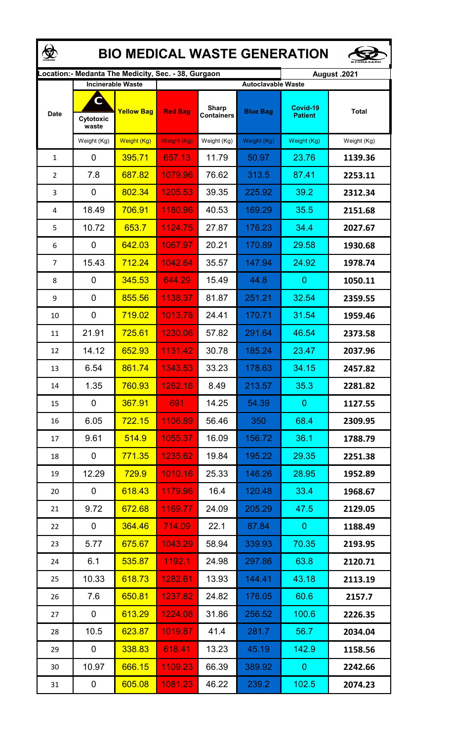| <b>BIO MEDICAL WASTE GENERATION</b>                                         |                                                       |                   |                    |                                   |                 |                            |              |  |  |  |  |  |  |
|-----------------------------------------------------------------------------|-------------------------------------------------------|-------------------|--------------------|-----------------------------------|-----------------|----------------------------|--------------|--|--|--|--|--|--|
| ocation: - Medanta The Medicity, Sec. - 38, Gurgaon.<br><b>August .2021</b> |                                                       |                   |                    |                                   |                 |                            |              |  |  |  |  |  |  |
|                                                                             | <b>Incinerable Waste</b><br><b>Autoclavable Waste</b> |                   |                    |                                   |                 |                            |              |  |  |  |  |  |  |
| <b>Date</b>                                                                 | C<br>Cytotoxic<br>waste                               | <b>Yellow Bag</b> | <b>Red Bag</b>     | <b>Sharp</b><br><b>Containers</b> | <b>Blue Bag</b> | Covid-19<br><b>Patient</b> | <b>Total</b> |  |  |  |  |  |  |
|                                                                             | Weight (Kg)                                           | Weight (Kg)       | <b>Weight (Kg)</b> | Weight (Kg)                       | Weight (Kg)     | Weight (Kg)                | Weight (Kg)  |  |  |  |  |  |  |
| 1                                                                           | 0                                                     | 395.71            | 657.13             | 11.79                             | 50.97           | 23.76                      | 1139.36      |  |  |  |  |  |  |
| $\overline{2}$                                                              | 7.8                                                   | 687.82            | 1079.96            | 76.62                             | 313.5           | 87.41                      | 2253.11      |  |  |  |  |  |  |
| 3                                                                           | 0                                                     | 802.34            | 1205.53            | 39.35                             | 225.92          | 39.2                       | 2312.34      |  |  |  |  |  |  |
| 4                                                                           | 18.49                                                 | 706.91            | 1180.96            | 40.53                             | 169.29          | 35.5                       | 2151.68      |  |  |  |  |  |  |
| 5                                                                           | 10.72                                                 | 653.7             | 1124.75            | 27.87                             | 176.23          | 34.4                       | 2027.67      |  |  |  |  |  |  |
| 6                                                                           | 0                                                     | 642.03            | 1067.97            | 20.21                             | 170.89          | 29.58                      | 1930.68      |  |  |  |  |  |  |
| 7                                                                           | 15.43                                                 | 712.24            | 1042.64            | 35.57                             | 147.94          | 24.92                      | 1978.74      |  |  |  |  |  |  |
| 8                                                                           | 0                                                     | 345.53            | 644.29             | 15.49                             | 44.8            | $\overline{0}$             | 1050.11      |  |  |  |  |  |  |
| 9                                                                           | 0                                                     | 855.56            | 1138.37            | 81.87                             | 251.21          | 32.54                      | 2359.55      |  |  |  |  |  |  |
| 10                                                                          | 0                                                     | 719.02            | 1013.78            | 24.41                             | 170.71          | 31.54                      | 1959.46      |  |  |  |  |  |  |
| 11                                                                          | 21.91                                                 | 725.61            | 1230.06            | 57.82                             | 291.64          | 46.54                      | 2373.58      |  |  |  |  |  |  |
| 12                                                                          | 14.12                                                 | 652.93            | 1131.42            | 30.78                             | 185.24          | 23.47                      | 2037.96      |  |  |  |  |  |  |
| 13                                                                          | 6.54                                                  | 861.74            | 1343.53            | 33.23                             | 178.63          | 34.15                      | 2457.82      |  |  |  |  |  |  |
| 14                                                                          | 1.35                                                  | 760.93            | 1262.18            | 8.49                              | 213.57          | 35.3                       | 2281.82      |  |  |  |  |  |  |
| 15                                                                          | 0                                                     | 367.91            | 691                | 14.25                             | 54.39           | $\overline{0}$             | 1127.55      |  |  |  |  |  |  |
| 16                                                                          | 6.05                                                  | 722.15            | 1106.89            | 56.46                             | 350             | 68.4                       | 2309.95      |  |  |  |  |  |  |
| 17                                                                          | 9.61                                                  | 514.9             | 1055.37            | 16.09                             | 156.72          | 36.1                       | 1788.79      |  |  |  |  |  |  |
| 18                                                                          | $\mathbf 0$                                           | 771.35            | 1235.62            | 19.84                             | 195.22          | 29.35                      | 2251.38      |  |  |  |  |  |  |
| 19                                                                          | 12.29                                                 | <b>729.9</b>      | 1010.16            | 25.33                             | 146.26          | 28.95                      | 1952.89      |  |  |  |  |  |  |
| 20                                                                          | 0                                                     | 618.43            | 1179.96            | 16.4                              | 120.48          | 33.4                       | 1968.67      |  |  |  |  |  |  |
| 21                                                                          | 9.72                                                  | 672.68            | 1169.77            | 24.09                             | 205.29          | 47.5                       | 2129.05      |  |  |  |  |  |  |
| 22                                                                          | 0                                                     | 364.46            | 714.09             | 22.1                              | 87.84           | $\mathbf{0}$               | 1188.49      |  |  |  |  |  |  |
| 23                                                                          | 5.77                                                  | 675.67            | 1043.29            | 58.94                             | 339.93          | 70.35                      | 2193.95      |  |  |  |  |  |  |
| 24                                                                          | 6.1                                                   | 535.87            | 1192.1             | 24.98                             | 297.86          | 63.8                       | 2120.71      |  |  |  |  |  |  |
| 25                                                                          | 10.33                                                 | 618.73            | 1282.61            | 13.93                             | 144.41          | 43.18                      | 2113.19      |  |  |  |  |  |  |
| 26                                                                          | 7.6                                                   | 650.81            | 1237.82            | 24.82                             | 176.05          | 60.6                       | 2157.7       |  |  |  |  |  |  |
| 27                                                                          | 0                                                     | 613.29            | 1224.08            | 31.86                             | 256.52          | 100.6                      | 2226.35      |  |  |  |  |  |  |
| 28                                                                          | 10.5                                                  | 623.87            | 1019.87            | 41.4                              | 281.7           | 56.7                       | 2034.04      |  |  |  |  |  |  |
| 29                                                                          | 0                                                     | 338.83            | 618.41             | 13.23                             | 45.19           | 142.9                      | 1158.56      |  |  |  |  |  |  |
| 30                                                                          | 10.97                                                 | 666.15            | 1109.23            | 66.39                             | 389.92          | $\overline{0}$             | 2242.66      |  |  |  |  |  |  |
| 31                                                                          | 0                                                     | 605.08            | 1081.23            | 46.22                             | 239.2           | 102.5                      | 2074.23      |  |  |  |  |  |  |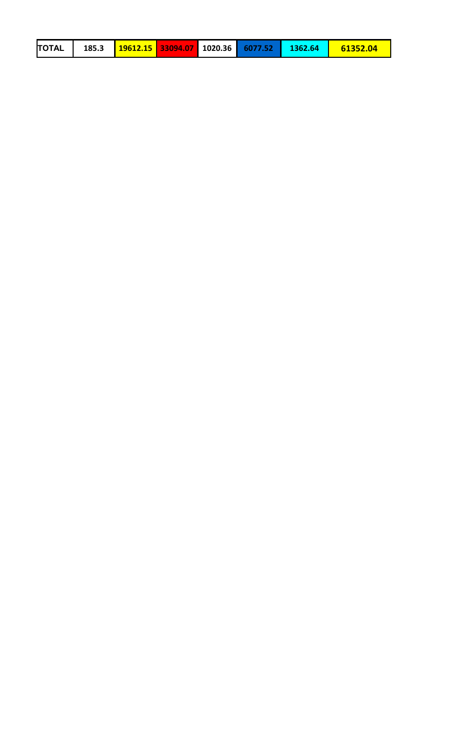| <b>TOTAL</b><br>61352.04 |  |  |  |  |  |  |  |  |  |
|--------------------------|--|--|--|--|--|--|--|--|--|
|--------------------------|--|--|--|--|--|--|--|--|--|